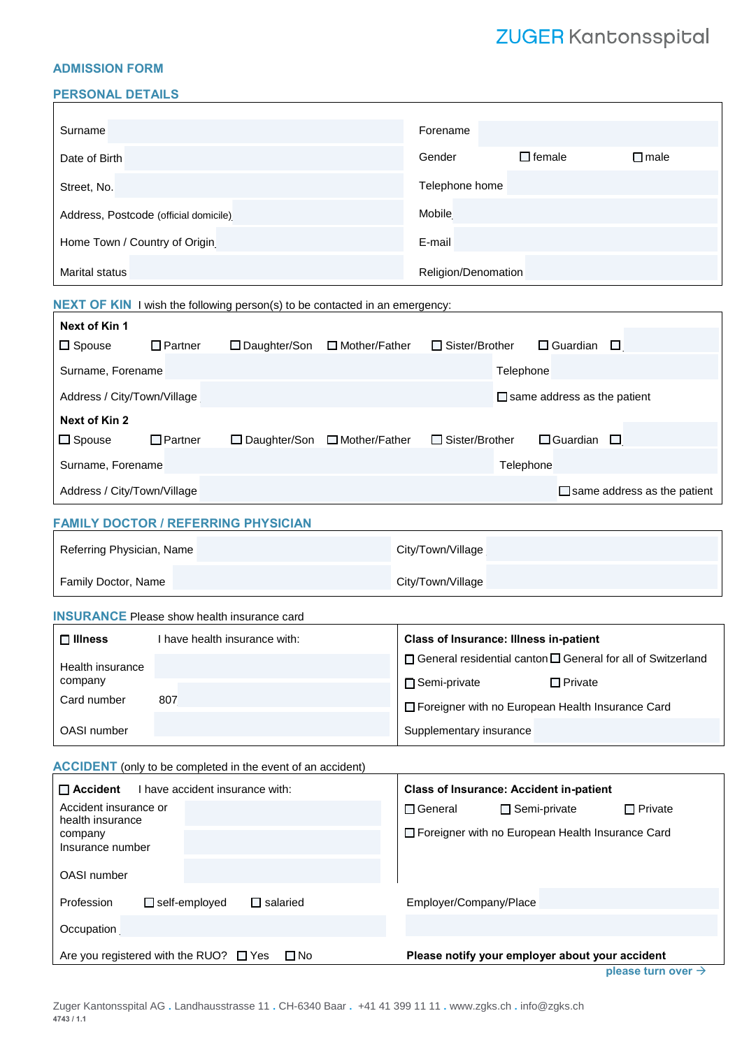# ZUGER Kantonsspital

#### **ADMISSION FORM**

#### **PERSONAL DETAILS**

| Surname                                                                                                   |                |                                |  | Forename                                                                |                        |                |  |
|-----------------------------------------------------------------------------------------------------------|----------------|--------------------------------|--|-------------------------------------------------------------------------|------------------------|----------------|--|
| Date of Birth                                                                                             |                |                                |  | Gender                                                                  | $\Box$ female          | $\square$ male |  |
| Street, No.                                                                                               |                |                                |  | Telephone home                                                          |                        |                |  |
| Address, Postcode (official domicile)                                                                     |                |                                |  | Mobile                                                                  |                        |                |  |
| Home Town / Country of Origin                                                                             |                |                                |  | E-mail                                                                  |                        |                |  |
| <b>Marital status</b>                                                                                     |                |                                |  |                                                                         | Religion/Denomation    |                |  |
| <b>NEXT OF KIN</b> I wish the following person(s) to be contacted in an emergency:                        |                |                                |  |                                                                         |                        |                |  |
| Next of Kin 1                                                                                             |                |                                |  |                                                                         |                        |                |  |
| $\Box$ Spouse                                                                                             | $\Box$ Partner | □ Daughter/Son □ Mother/Father |  | $\Box$ Sister/Brother                                                   | $\Box$ Guardian        | $\Box$         |  |
| Surname, Forename<br>Telephone                                                                            |                |                                |  |                                                                         |                        |                |  |
| Address / City/Town/Village<br>$\Box$ same address as the patient                                         |                |                                |  |                                                                         |                        |                |  |
| Next of Kin 2                                                                                             |                |                                |  |                                                                         |                        |                |  |
| $\Box$ Spouse                                                                                             | $\Box$ Partner | □ Daughter/Son □ Mother/Father |  | $\Box$ Sister/Brother                                                   | $\Box$ Guardian        | ப              |  |
| Surname, Forename<br>Telephone                                                                            |                |                                |  |                                                                         |                        |                |  |
| Address / City/Town/Village<br>$\Box$ same address as the patient                                         |                |                                |  |                                                                         |                        |                |  |
| <b>FAMILY DOCTOR / REFERRING PHYSICIAN</b>                                                                |                |                                |  |                                                                         |                        |                |  |
| Referring Physician, Name                                                                                 |                |                                |  | City/Town/Village                                                       |                        |                |  |
| Family Doctor, Name                                                                                       |                |                                |  | City/Town/Village                                                       |                        |                |  |
| <b>INSURANCE</b> Please show health insurance card                                                        |                |                                |  |                                                                         |                        |                |  |
| $\Box$ Illness<br>I have health insurance with:                                                           |                |                                |  | <b>Class of Insurance: Illness in-patient</b>                           |                        |                |  |
| Health insurance                                                                                          |                |                                |  | $\Box$ General residential canton $\Box$ General for all of Switzerland |                        |                |  |
| company                                                                                                   |                |                                |  | $\Box$ Private<br>$\Box$ Semi-private                                   |                        |                |  |
| Card number<br>807                                                                                        |                |                                |  | □ Foreigner with no European Health Insurance Card                      |                        |                |  |
| OASI number                                                                                               |                |                                |  | Supplementary insurance                                                 |                        |                |  |
| <b>ACCIDENT</b> (only to be completed in the event of an accident)                                        |                |                                |  |                                                                         |                        |                |  |
| $\Box$ Accident<br>I have accident insurance with:<br><b>Class of Insurance: Accident in-patient</b>      |                |                                |  |                                                                         |                        |                |  |
| Accident insurance or                                                                                     |                |                                |  | $\Box$ General<br>$\Box$ Private<br>$\Box$ Semi-private                 |                        |                |  |
| health insurance<br>company                                                                               |                |                                |  | □ Foreigner with no European Health Insurance Card                      |                        |                |  |
| Insurance number                                                                                          |                |                                |  |                                                                         |                        |                |  |
| OASI number                                                                                               |                |                                |  |                                                                         |                        |                |  |
| Profession<br>$\Box$ self-employed<br>$\Box$ salaried                                                     |                |                                |  |                                                                         | Employer/Company/Place |                |  |
| Occupation                                                                                                |                |                                |  |                                                                         |                        |                |  |
| $\square$ No<br>Please notify your employer about your accident<br>Are you registered with the RUO? □ Yes |                |                                |  |                                                                         |                        |                |  |

**please turn over** →